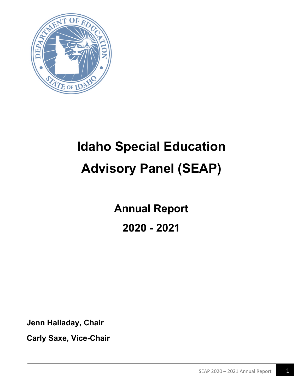

# **Idaho Special Education Advisory Panel (SEAP)**

**Annual Report 2020 - 2021**

**Jenn Halladay, Chair**

**Carly Saxe, Vice-Chair**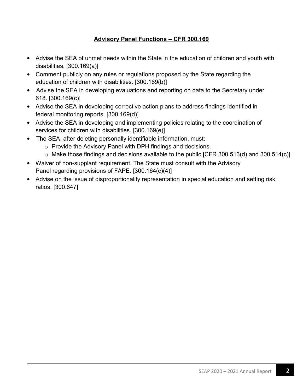#### **Advisory Panel Functions – CFR 300.169**

- Advise the SEA of unmet needs within the State in the education of children and youth with disabilities. [300.169(a)]
- Comment publicly on any rules or regulations proposed by the State regarding the education of children with disabilities. [300.169(b)]
- Advise the SEA in developing evaluations and reporting on data to the Secretary under 618. [300.169(c)]
- Advise the SEA in developing corrective action plans to address findings identified in federal monitoring reports. [300.169(d)]
- Advise the SEA in developing and implementing policies relating to the coordination of services for children with disabilities. [300.169(e)]
- The SEA, after deleting personally identifiable information, must:
	- o Provide the Advisory Panel with DPH findings and decisions.
	- $\circ$  Make those findings and decisions available to the public [CFR 300.513(d) and 300.514(c)]
- Waiver of non-supplant requirement. The State must consult with the Advisory Panel regarding provisions of FAPE. [300.164(c)(4)]
- Advise on the issue of disproportionality representation in special education and setting risk ratios. [300.647]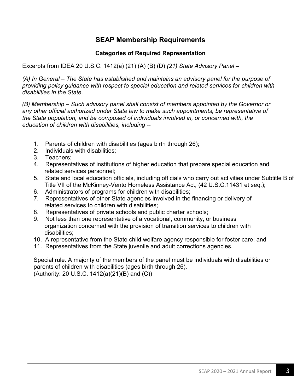#### **SEAP Membership Requirements**

#### **Categories of Required Representation**

Excerpts from IDEA 20 U.S.C. 1412(a) (21) (A) (B) (D) *(21) State Advisory Panel –*

*(A) In General – The State has established and maintains an advisory panel for the purpose of providing policy guidance with respect to special education and related services for children with disabilities in the State.*

*(B) Membership – Such advisory panel shall consist of members appointed by the Governor or any other official authorized under State law to make such appointments, be representative of the State population, and be composed of individuals involved in, or concerned with, the education of children with disabilities, including --*

- 1. Parents of children with disabilities (ages birth through 26);
- 2. Individuals with disabilities;
- 3. Teachers;
- 4. Representatives of institutions of higher education that prepare special education and related services personnel;
- 5. State and local education officials, including officials who carry out activities under Subtitle B of Title VII of the McKinney-Vento Homeless Assistance Act, (42 U.S.C.11431 et seq.);
- 6. Administrators of programs for children with disabilities;
- 7. Representatives of other State agencies involved in the financing or delivery of related services to children with disabilities;
- 8. Representatives of private schools and public charter schools;
- 9. Not less than one representative of a vocational, community, or business organization concerned with the provision of transition services to children with disabilities;
- 10. A representative from the State child welfare agency responsible for foster care; and
- 11. Representatives from the State juvenile and adult corrections agencies.

Special rule. A majority of the members of the panel must be individuals with disabilities or parents of children with disabilities (ages birth through 26). (Authority: 20 U.S.C. 1412(a)(21)(B) and (C))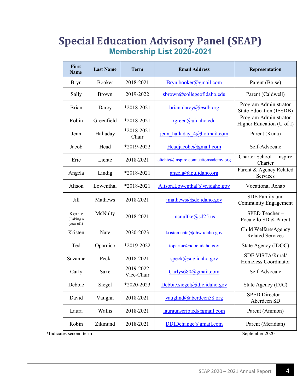# **Special Education Advisory Panel (SEAP) Membership List 2020-2021**

| <b>First</b><br><b>Name</b>              | <b>Last Name</b> | <b>Term</b>             | <b>Email Address</b>                 | Representation                                          |
|------------------------------------------|------------------|-------------------------|--------------------------------------|---------------------------------------------------------|
| <b>Bryn</b>                              | Booker           | 2018-2021               | Bryn.booker@gmail.com                | Parent (Boise)                                          |
| Sally                                    | <b>Brown</b>     | 2019-2022               | sbrown@collegeofidaho.edu            | Parent (Caldwell)                                       |
| <b>Brian</b>                             | Darcy            | *2018-2021              | brian.darcy@iesdb.org                | Program Administrator<br><b>State Education (IESDB)</b> |
| Robin                                    | Greenfield       | *2018-2021              | rgreen@uidaho.edu                    | Program Administrator<br>Higher Education (U of I)      |
| Jenn                                     | Halladay         | *2018-2021<br>Chair     | jenn halladay 4@hotmail.com          | Parent (Kuna)                                           |
| Jacob                                    | Head             | *2019-2022              | Headjacobe@gmail.com                 | Self-Advocate                                           |
| Eric                                     | Lichte           | 2018-2021               | elichte@inspire.connectionsademy.org | Charter School - Inspire<br>Charter                     |
| Angela                                   | Lindig           | *2018-2021              | $angle(a)$ ipulidaho.org             | Parent & Agency Related<br>Services                     |
| Alison                                   | Lowenthal        | $*2018 - 2021$          | Alison.Lowenthal@vr.idaho.gov        | <b>Vocational Rehab</b>                                 |
| Jill                                     | Mathews          | 2018-2021               | jmathews@sde.idaho.gov               | SDE Family and<br><b>Community Engagement</b>           |
| Kerrie<br>(Taking a<br>year off)         | McNulty          | 2018-2021               | $m$ cnultke@sd25.us                  | SPED Teacher-<br>Pocatello SD & Parent                  |
| Kristen                                  | Nate             | 2020-2023               | kristen.nate@dhw.idaho.gov           | Child Welfare/Agency<br><b>Related Services</b>         |
| Ted                                      | Oparnico         | *2019-2022              | toparnic@idoc.idaho.gov              | State Agency (IDOC)                                     |
| Suzanne                                  | Peck             | 2018-2021               | speck@sde.idaho.gov                  | SDE VISTA/Rural/<br>Homeless Coordinator                |
| Carly                                    | Saxe             | 2019-2022<br>Vice-Chair | Carlys680@gmail.com                  | Self-Advocate                                           |
| Debbie                                   | Siegel           | *2020-2023              | Debbie.siegel@idjc.idaho.gov         | State Agency (DJC)                                      |
| David                                    | Vaughn           | 2018-2021               | vaughnd@aberdeen58.org               | SPED Director-<br>Aberdeen SD                           |
| Laura                                    | Wallis           | 2018-2021               | lauraunscripted@gmail.com            | Parent (Ammon)                                          |
| Robin                                    | Zikmund          | 2018-2021               | DDIDchange@gmail.com                 | Parent (Meridian)                                       |
| September 2020<br>*Indicates second term |                  |                         |                                      |                                                         |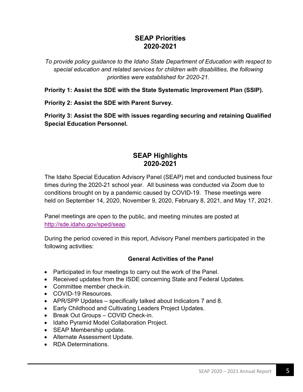#### **SEAP Priorities 2020-2021**

*To provide policy guidance to the Idaho State Department of Education with respect to special education and related services for children with disabilities, the following priorities were established for 2020-21.*

**Priority 1: Assist the SDE with the State Systematic Improvement Plan (SSIP).** 

**Priority 2: Assist the SDE with Parent Survey.**

**Priority 3: Assist the SDE with issues regarding securing and retaining Qualified Special Education Personnel.**

#### **SEAP Highlights 2020-2021**

The Idaho Special Education Advisory Panel (SEAP) met and conducted business four times during the 2020-21 school year. All business was conducted via Zoom due to conditions brought on by a pandemic caused by COVID-19. These meetings were held on September 14, 2020, November 9, 2020, February 8, 2021, and May 17, 2021.

Panel meetings are open to the public, and meeting minutes are posted at [http://sde.idaho.gov/sped/seap.](http://sde.idaho.gov/sped/seap)

During the period covered in this report, Advisory Panel members participated in the following activities:

#### **General Activities of the Panel**

- Participated in four meetings to carry out the work of the Panel.
- Received updates from the ISDE concerning State and Federal Updates.
- Committee member check-in.
- COVID-19 Resources.
- APR/SPP Updates specifically talked about Indicators 7 and 8.
- Early Childhood and Cultivating Leaders Project Updates.
- Break Out Groups COVID Check-in.
- Idaho Pyramid Model Collaboration Project.
- SEAP Membership update.
- Alternate Assessment Update.
- RDA Determinations.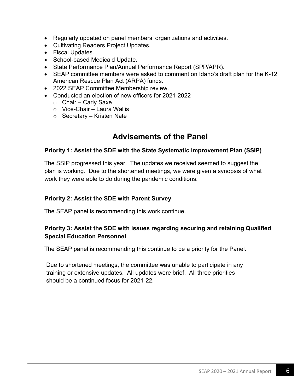- Regularly updated on panel members' organizations and activities.
- Cultivating Readers Project Updates.
- Fiscal Updates.
- School-based Medicaid Update.
- State Performance Plan/Annual Performance Report (SPP/APR).
- SEAP committee members were asked to comment on Idaho's draft plan for the K-12 American Rescue Plan Act (ARPA) funds.
- 2022 SEAP Committee Membership review.
- Conducted an election of new officers for 2021-2022
	- $\circ$  Chair Carly Saxe
	- $\circ$  Vice-Chair Laura Wallis
	- $\circ$  Secretary Kristen Nate

### **Advisements of the Panel**

#### **Priority 1: Assist the SDE with the State Systematic Improvement Plan (SSIP)**

The SSIP progressed this year. The updates we received seemed to suggest the plan is working. Due to the shortened meetings, we were given a synopsis of what work they were able to do during the pandemic conditions.

#### **Priority 2: Assist the SDE with Parent Survey**

The SEAP panel is recommending this work continue.

#### **Priority 3: Assist the SDE with issues regarding securing and retaining Qualified Special Education Personnel**

The SEAP panel is recommending this continue to be a priority for the Panel.

Due to shortened meetings, the committee was unable to participate in any training or extensive updates. All updates were brief. All three priorities should be a continued focus for 2021-22.